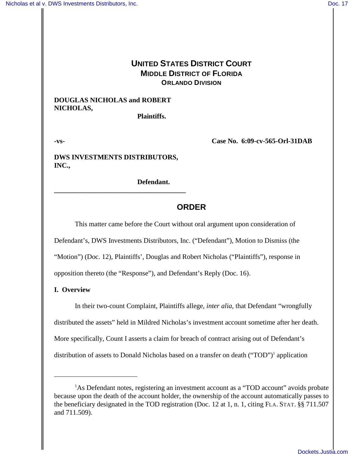# **UNITED STATES DISTRICT COURT MIDDLE DISTRICT OF FLORIDA ORLANDO DIVISION**

## **DOUGLAS NICHOLAS and ROBERT NICHOLAS,**

**Plaintiffs.**

**-vs- Case No. 6:09-cv-565-Orl-31DAB**

**DWS INVESTMENTS DISTRIBUTORS, INC.,**

**\_\_\_\_\_\_\_\_\_\_\_\_\_\_\_\_\_\_\_\_\_\_\_\_\_\_\_\_\_\_\_\_\_\_\_\_\_\_**

**Defendant.**

## **ORDER**

This matter came before the Court without oral argument upon consideration of

Defendant's, DWS Investments Distributors, Inc. ("Defendant"), Motion to Dismiss (the

"Motion") (Doc. 12), Plaintiffs', Douglas and Robert Nicholas ("Plaintiffs"), response in

opposition thereto (the "Response"), and Defendant's Reply (Doc. 16).

### **I. Overview**

In their two-count Complaint, Plaintiffs allege, *inter alia*, that Defendant "wrongfully distributed the assets" held in Mildred Nicholas's investment account sometime after her death. More specifically, Count I asserts a claim for breach of contract arising out of Defendant's distribution of assets to Donald Nicholas based on a transfer on death ("TOD")<sup>1</sup> application

<sup>&</sup>lt;sup>1</sup>As Defendant notes, registering an investment account as a "TOD account" avoids probate because upon the death of the account holder, the ownership of the account automatically passes to the beneficiary designated in the TOD registration (Doc. 12 at 1, n. 1, citing FLA. STAT. §§ 711.507 and 711.509).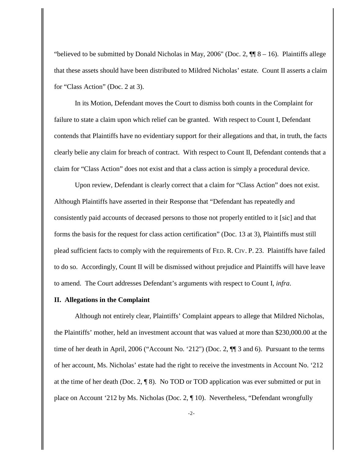"believed to be submitted by Donald Nicholas in May, 2006" (Doc. 2,  $\P$  8 – 16). Plaintiffs allege that these assets should have been distributed to Mildred Nicholas' estate. Count II asserts a claim for "Class Action" (Doc. 2 at 3).

In its Motion, Defendant moves the Court to dismiss both counts in the Complaint for failure to state a claim upon which relief can be granted. With respect to Count I, Defendant contends that Plaintiffs have no evidentiary support for their allegations and that, in truth, the facts clearly belie any claim for breach of contract. With respect to Count II, Defendant contends that a claim for "Class Action" does not exist and that a class action is simply a procedural device.

Upon review, Defendant is clearly correct that a claim for "Class Action" does not exist. Although Plaintiffs have asserted in their Response that "Defendant has repeatedly and consistently paid accounts of deceased persons to those not properly entitled to it [sic] and that forms the basis for the request for class action certification" (Doc. 13 at 3), Plaintiffs must still plead sufficient facts to comply with the requirements of FED. R. CIV. P. 23. Plaintiffs have failed to do so. Accordingly, Count II will be dismissed without prejudice and Plaintiffs will have leave to amend. The Court addresses Defendant's arguments with respect to Count I, *infra*.

#### **II. Allegations in the Complaint**

Although not entirely clear, Plaintiffs' Complaint appears to allege that Mildred Nicholas, the Plaintiffs' mother, held an investment account that was valued at more than \$230,000.00 at the time of her death in April, 2006 ("Account No. '212") (Doc. 2, ¶¶ 3 and 6). Pursuant to the terms of her account, Ms. Nicholas' estate had the right to receive the investments in Account No. '212 at the time of her death (Doc. 2,  $\P$ 8). No TOD or TOD application was ever submitted or put in place on Account '212 by Ms. Nicholas (Doc. 2, ¶ 10). Nevertheless, "Defendant wrongfully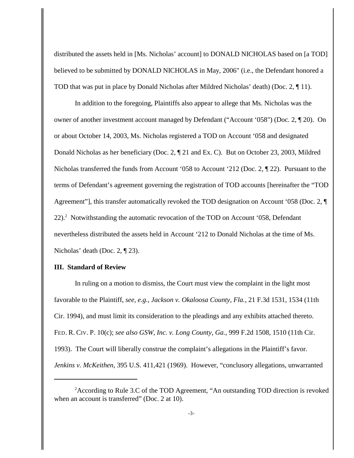distributed the assets held in [Ms. Nicholas' account] to DONALD NICHOLAS based on [a TOD] believed to be submitted by DONALD NICHOLAS in May, 2006" (i.e., the Defendant honored a TOD that was put in place by Donald Nicholas after Mildred Nicholas' death) (Doc. 2, ¶ 11).

In addition to the foregoing, Plaintiffs also appear to allege that Ms. Nicholas was the owner of another investment account managed by Defendant ("Account '058") (Doc. 2, ¶ 20). On or about October 14, 2003, Ms. Nicholas registered a TOD on Account '058 and designated Donald Nicholas as her beneficiary (Doc. 2, ¶ 21 and Ex. C). But on October 23, 2003, Mildred Nicholas transferred the funds from Account '058 to Account '212 (Doc. 2, ¶ 22). Pursuant to the terms of Defendant's agreement governing the registration of TOD accounts [hereinafter the "TOD Agreement"], this transfer automatically revoked the TOD designation on Account '058 (Doc. 2, ¶  $22$ ).<sup>2</sup> Notwithstanding the automatic revocation of the TOD on Account '058, Defendant nevertheless distributed the assets held in Account '212 to Donald Nicholas at the time of Ms. Nicholas' death (Doc. 2, ¶ 23).

### **III. Standard of Review**

In ruling on a motion to dismiss, the Court must view the complaint in the light most favorable to the Plaintiff, *see*, *e.g.*, *Jackson v. Okaloosa County, Fla.*, 21 F.3d 1531, 1534 (11th Cir. 1994), and must limit its consideration to the pleadings and any exhibits attached thereto. FED. R. CIV. P. 10(c); *see also GSW, Inc. v. Long County, Ga.*, 999 F.2d 1508, 1510 (11th Cir. 1993). The Court will liberally construe the complaint's allegations in the Plaintiff's favor. *Jenkins v. McKeithen*, 395 U.S. 411,421 (1969). However, "conclusory allegations, unwarranted

 $A$ ccording to Rule 3.C of the TOD Agreement, "An outstanding TOD direction is revoked when an account is transferred" (Doc. 2 at 10).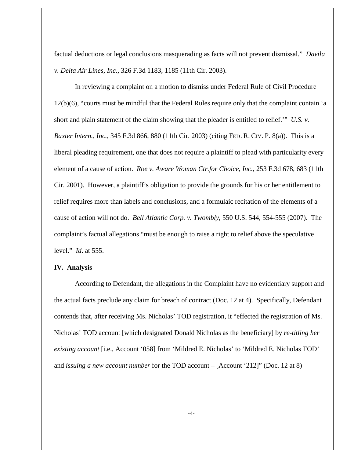factual deductions or legal conclusions masquerading as facts will not prevent dismissal." *Davila v. Delta Air Lines, Inc.*, 326 F.3d 1183, 1185 (11th Cir. 2003).

In reviewing a complaint on a motion to dismiss under Federal Rule of Civil Procedure 12(b)(6), "courts must be mindful that the Federal Rules require only that the complaint contain 'a short and plain statement of the claim showing that the pleader is entitled to relief.'" *U.S. v. Baxter Intern., Inc.*, 345 F.3d 866, 880 (11th Cir. 2003) (citing FED. R. CIV. P. 8(a)). This is a liberal pleading requirement, one that does not require a plaintiff to plead with particularity every element of a cause of action. *Roe v. Aware Woman Ctr.for Choice, Inc.*, 253 F.3d 678, 683 (11th Cir. 2001). However, a plaintiff's obligation to provide the grounds for his or her entitlement to relief requires more than labels and conclusions, and a formulaic recitation of the elements of a cause of action will not do. *Bell Atlantic Corp. v. Twombly*, 550 U.S. 544, 554-555 (2007). The complaint's factual allegations "must be enough to raise a right to relief above the speculative level." *Id*. at 555.

#### **IV. Analysis**

According to Defendant, the allegations in the Complaint have no evidentiary support and the actual facts preclude any claim for breach of contract (Doc. 12 at 4). Specifically, Defendant contends that, after receiving Ms. Nicholas' TOD registration, it "effected the registration of Ms. Nicholas' TOD account [which designated Donald Nicholas as the beneficiary] by *re-titling her existing account* [i.e., Account '058] from 'Mildred E. Nicholas' to 'Mildred E. Nicholas TOD' and *issuing a new account number* for the TOD account – [Account '212]" (Doc. 12 at 8)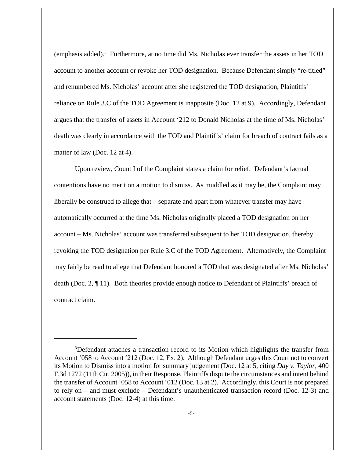(emphasis added). $3$  Furthermore, at no time did Ms. Nicholas ever transfer the assets in her TOD account to another account or revoke her TOD designation. Because Defendant simply "re-titled" and renumbered Ms. Nicholas' account after she registered the TOD designation, Plaintiffs' reliance on Rule 3.C of the TOD Agreement is inapposite (Doc. 12 at 9). Accordingly, Defendant argues that the transfer of assets in Account '212 to Donald Nicholas at the time of Ms. Nicholas' death was clearly in accordance with the TOD and Plaintiffs' claim for breach of contract fails as a matter of law (Doc. 12 at 4).

Upon review, Count I of the Complaint states a claim for relief. Defendant's factual contentions have no merit on a motion to dismiss. As muddled as it may be, the Complaint may liberally be construed to allege that – separate and apart from whatever transfer may have automatically occurred at the time Ms. Nicholas originally placed a TOD designation on her account – Ms. Nicholas' account was transferred subsequent to her TOD designation, thereby revoking the TOD designation per Rule 3.C of the TOD Agreement. Alternatively, the Complaint may fairly be read to allege that Defendant honored a TOD that was designated after Ms. Nicholas' death (Doc. 2, ¶ 11). Both theories provide enough notice to Defendant of Plaintiffs' breach of contract claim.

<sup>&</sup>lt;sup>3</sup>Defendant attaches a transaction record to its Motion which highlights the transfer from Account '058 to Account '212 (Doc. 12, Ex. 2). Although Defendant urges this Court not to convert its Motion to Dismiss into a motion for summary judgement (Doc. 12 at 5, citing *Day v. Taylor*, 400 F.3d 1272 (11th Cir. 2005)), in their Response, Plaintiffs dispute the circumstances and intent behind the transfer of Account '058 to Account '012 (Doc. 13 at 2). Accordingly, this Court is not prepared to rely on – and must exclude – Defendant's unauthenticated transaction record (Doc. 12-3) and account statements (Doc. 12-4) at this time.